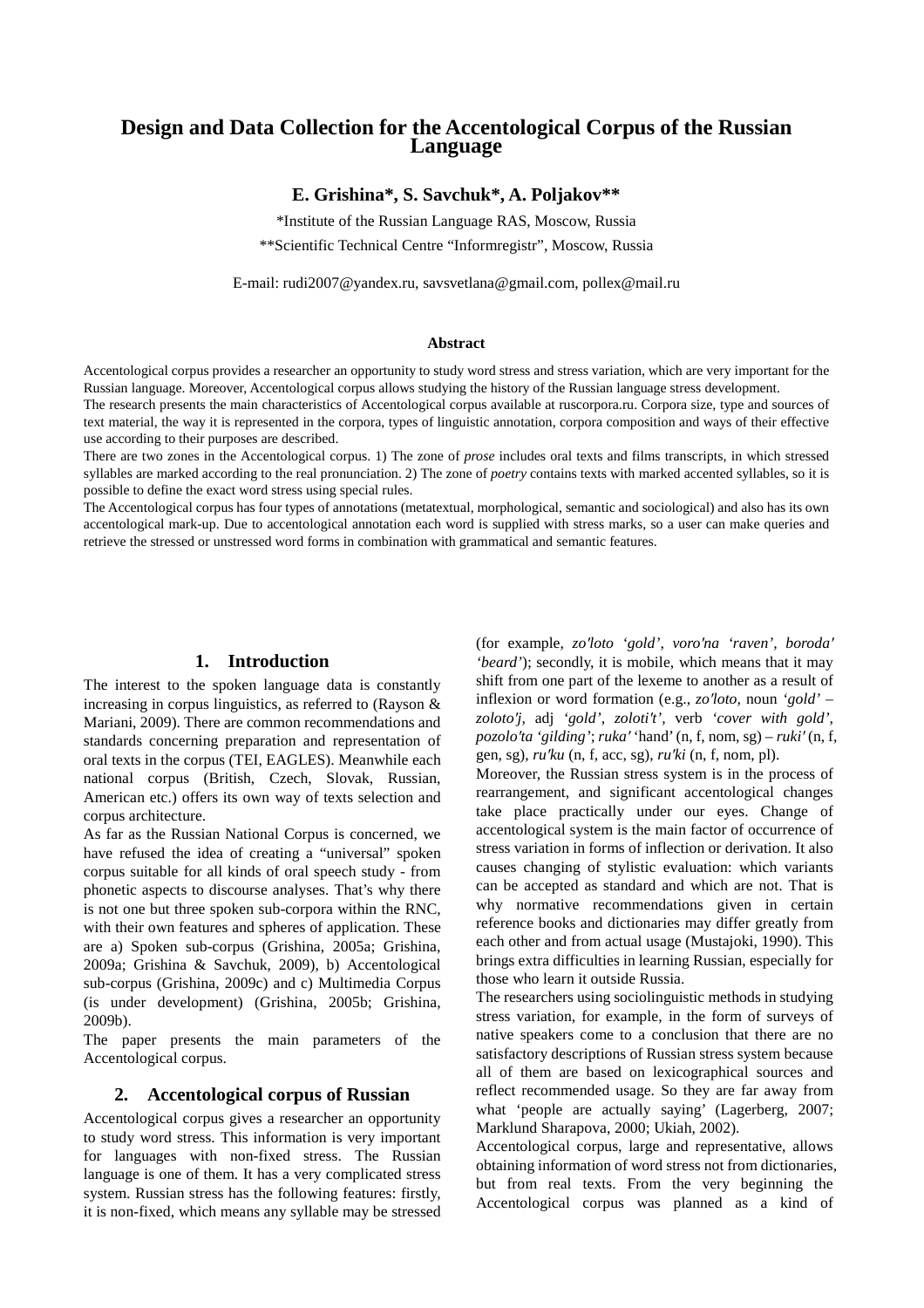# **Design and Data Collection for the Accentological Corpus of the Russian Language**

## **E. Grishina\*, S. Savchuk\*, A. Poljakov\*\***

\*Institute of the Russian Language RAS, Moscow, Russia

\*\*Scientific Technical Centre "Informregistr", Moscow, Russia

E-mail: rudi2007@yandex.ru, savsvetlana@gmail.com, pollex@mail.ru

#### **Abstract**

Accentological corpus provides a researcher an opportunity to study word stress and stress variation, which are very important for the Russian language. Moreover, Accentological corpus allows studying the history of the Russian language stress development.

The research presents the main characteristics of Accentological corpus available at ruscorpora.ru. Corpora size, type and sources of text material, the way it is represented in the corpora, types of linguistic annotation, corpora composition and ways of their effective use according to their purposes are described.

There are two zones in the Accentological corpus. 1) The zone of *prose* includes oral texts and films transcripts, in which stressed syllables are marked according to the real pronunciation. 2) The zone of *poetry* contains texts with marked accented syllables, so it is possible to define the exact word stress using special rules.

The Accentological corpus has four types of annotations (metatextual, morphological, semantic and sociological) and also has its own accentological mark-up. Due to accentological annotation each word is supplied with stress marks, so a user can make queries and retrieve the stressed or unstressed word forms in combination with grammatical and semantic features.

#### **1. Introduction**

The interest to the spoken language data is constantly increasing in corpus linguistics, as referred to (Rayson & Mariani, 2009). There are common recommendations and standards concerning preparation and representation of oral texts in the corpus (TEI, EAGLES). Meanwhile each national corpus (British, Czech, Slovak, Russian, American etc.) offers its own way of texts selection and corpus architecture.

As far as the Russian National Corpus is concerned, we have refused the idea of creating a "universal" spoken corpus suitable for all kinds of oral speech study - from phonetic aspects to discourse analyses. That's why there is not one but three spoken sub-corpora within the RNC, with their own features and spheres of application. These are a) Spoken sub-corpus (Grishina, 2005a; Grishina, 2009a; Grishina & Savchuk, 2009), b) Accentological sub-corpus (Grishina, 2009c) and c) Multimedia Corpus (is under development) (Grishina, 2005b; Grishina, 2009b).

The paper presents the main parameters of the Accentological corpus.

### **2. Accentological corpus of Russian**

Accentological corpus gives a researcher an opportunity to study word stress. This information is very important for languages with non-fixed stress. The Russian language is one of them. It has a very complicated stress system. Russian stress has the following features: firstly, it is non-fixed, which means any syllable may be stressed

(for example, *zo*′*loto 'gold', voro*′*na 'raven', boroda*′ *'beard'*); secondly, it is mobile, which means that it may shift from one part of the lexeme to another as a result of inflexion or word formation (e.g., *zo*′*loto,* noun *'gold'* – *zoloto*′*j,* adj *'gold'*, *zoloti*′*t',* verb *'cover with gold'*, *pozolo*′*ta 'gilding'*; *ruka*′ 'hand' (n, f, nom, sg) – *ruki*′ (n, f, gen, sg), *ru*′*ku* (n, f, acc, sg), *ru*′*ki* (n, f, nom, pl).

Moreover, the Russian stress system is in the process of rearrangement, and significant accentological changes take place practically under our eyes. Change of accentological system is the main factor of occurrence of stress variation in forms of inflection or derivation. It also causes changing of stylistic evaluation: which variants can be accepted as standard and which are not. That is why normative recommendations given in certain reference books and dictionaries may differ greatly from each other and from actual usage (Mustajoki, 1990). This brings extra difficulties in learning Russian, especially for those who learn it outside Russia.

The researchers using sociolinguistic methods in studying stress variation, for example, in the form of surveys of native speakers come to a conclusion that there are no satisfactory descriptions of Russian stress system because all of them are based on lexicographical sources and reflect recommended usage. So they are far away from what 'people are actually saying' (Lagerberg, 2007; Marklund Sharapova, 2000; Ukiah, 2002).

Accentological corpus, large and representative, allows obtaining information of word stress not from dictionaries, but from real texts. From the very beginning the Accentological corpus was planned as a kind of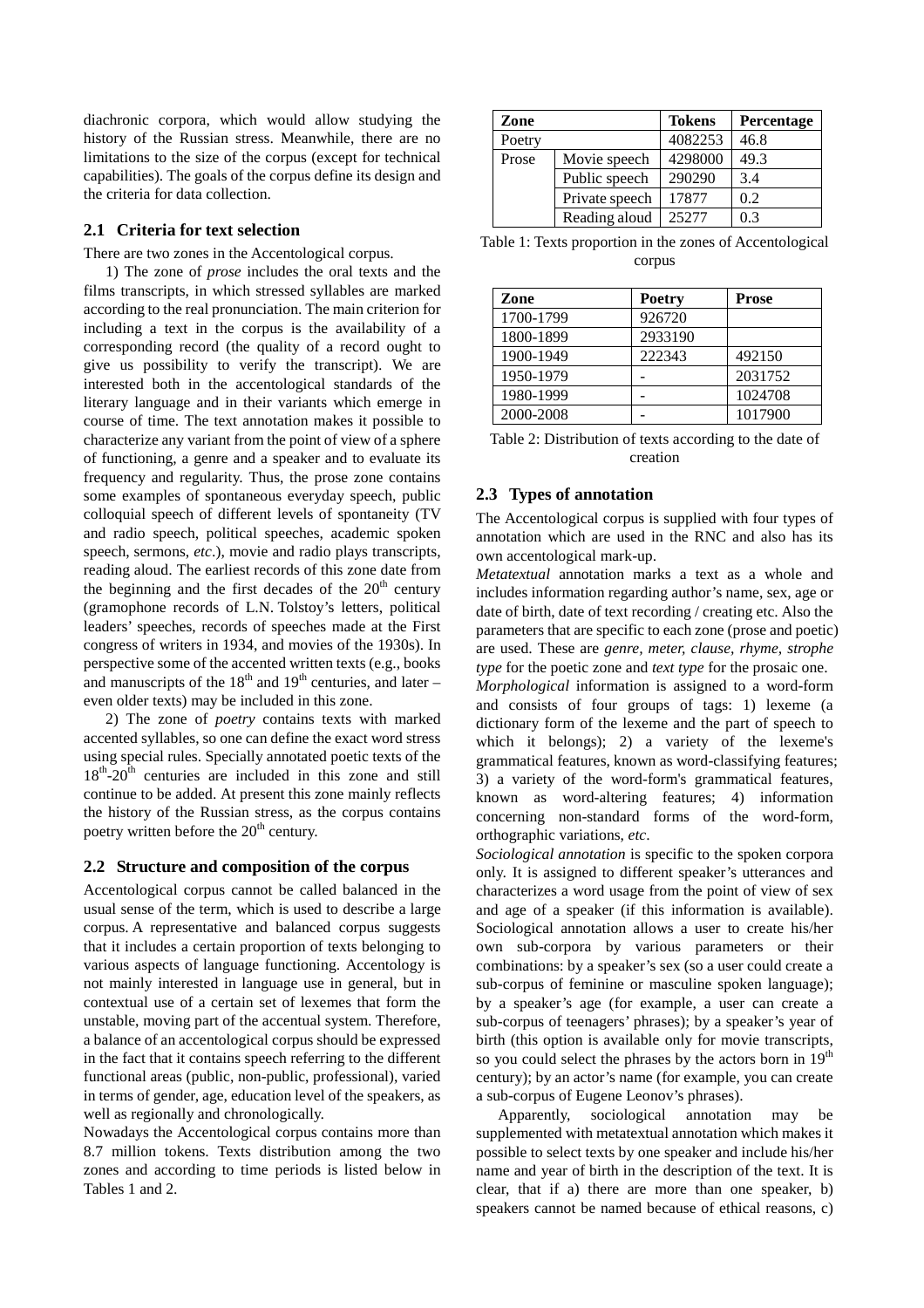diachronic corpora, which would allow studying the history of the Russian stress. Meanwhile, there are no limitations to the size of the corpus (except for technical capabilities). The goals of the corpus define its design and the criteria for data collection.

#### **2.1 Criteria for text selection**

There are two zones in the Accentological corpus.

1) The zone of *prose* includes the oral texts and the films transcripts, in which stressed syllables are marked according to the real pronunciation. The main criterion for including a text in the corpus is the availability of a corresponding record (the quality of a record ought to give us possibility to verify the transcript). We are interested both in the accentological standards of the literary language and in their variants which emerge in course of time. The text annotation makes it possible to characterize any variant from the point of view of a sphere of functioning, a genre and a speaker and to evaluate its frequency and regularity. Thus, the prose zone contains some examples of spontaneous everyday speech, public colloquial speech of different levels of spontaneity (TV and radio speech, political speeches, academic spoken speech, sermons, *etc*.), movie and radio plays transcripts, reading aloud. The earliest records of this zone date from the beginning and the first decades of the  $20<sup>th</sup>$  century (gramophone records of L.N. Tolstoy's letters, political leaders' speeches, records of speeches made at the First congress of writers in 1934, and movies of the 1930s). In perspective some of the accented written texts (e.g., books and manuscripts of the  $18<sup>th</sup>$  and  $19<sup>th</sup>$  centuries, and later – even older texts) may be included in this zone.

2) The zone of *poetry* contains texts with marked accented syllables, so one can define the exact word stress using special rules. Specially annotated poetic texts of the  $18^{th}$ - $20^{th}$  centuries are included in this zone and still continue to be added. At present this zone mainly reflects the history of the Russian stress, as the corpus contains poetry written before the  $20<sup>th</sup>$  century.

#### **2.2 Structure and composition of the corpus**

Accentological corpus cannot be called balanced in the usual sense of the term, which is used to describe a large corpus. A representative and balanced corpus suggests that it includes a certain proportion of texts belonging to various aspects of language functioning. Accentology is not mainly interested in language use in general, but in contextual use of a certain set of lexemes that form the unstable, moving part of the accentual system. Therefore, a balance of an accentological corpus should be expressed in the fact that it contains speech referring to the different functional areas (public, non-public, professional), varied in terms of gender, age, education level of the speakers, as well as regionally and chronologically.

Nowadays the Accentological corpus contains more than 8.7 million tokens. Texts distribution among the two zones and according to time periods is listed below in Tables 1 and 2.

| Zone   |                | <b>Tokens</b> | Percentage |
|--------|----------------|---------------|------------|
| Poetry |                | 4082253       | 46.8       |
| Prose  | Movie speech   | 4298000       | 49.3       |
|        | Public speech  | 290290        | 3.4        |
|        | Private speech | 17877         | 0.2        |
|        | Reading aloud  | 25277         | 0.3        |

Table 1: Texts proportion in the zones of Accentological corpus

| Zone      | <b>Poetry</b> | <b>Prose</b> |
|-----------|---------------|--------------|
| 1700-1799 | 926720        |              |
| 1800-1899 | 2933190       |              |
| 1900-1949 | 222343        | 492150       |
| 1950-1979 |               | 2031752      |
| 1980-1999 |               | 1024708      |
| 2000-2008 |               | 1017900      |

Table 2: Distribution of texts according to the date of creation

#### **2.3 Types of annotation**

The Accentological corpus is supplied with four types of annotation which are used in the RNC and also has its own accentological mark-up.

*Metatextual* annotation marks a text as a whole and includes information regarding author's name, sex, age or date of birth, date of text recording / creating etc. Also the parameters that are specific to each zone (prose and poetic) are used. These are *genre, meter, clause, rhyme, strophe type* for the poetic zone and *text type* for the prosaic one.

*Morphological* information is assigned to a word-form and consists of four groups of tags: 1) lexeme (a dictionary form of the lexeme and the part of speech to which it belongs); 2) a variety of the lexeme's grammatical features, known as word-classifying features; 3) a variety of the word-form's grammatical features, known as word-altering features; 4) information concerning non-standard forms of the word-form, orthographic variations, *etc*.

*Sociological annotation* is specific to the spoken corpora only. It is assigned to different speaker's utterances and characterizes a word usage from the point of view of sex and age of a speaker (if this information is available). Sociological annotation allows a user to create his/her own sub-corpora by various parameters or their combinations: by a speaker's sex (so a user could create a sub-corpus of feminine or masculine spoken language); by a speaker's age (for example, a user can create a sub-corpus of teenagers' phrases); by a speaker's year of birth (this option is available only for movie transcripts, so you could select the phrases by the actors born in 19<sup>th</sup> century); by an actor's name (for example, you can create a sub-corpus of Eugene Leonov's phrases).

Apparently, sociological annotation may be supplemented with metatextual annotation which makes it possible to select texts by one speaker and include his/her name and year of birth in the description of the text. It is clear, that if a) there are more than one speaker, b) speakers cannot be named because of ethical reasons, c)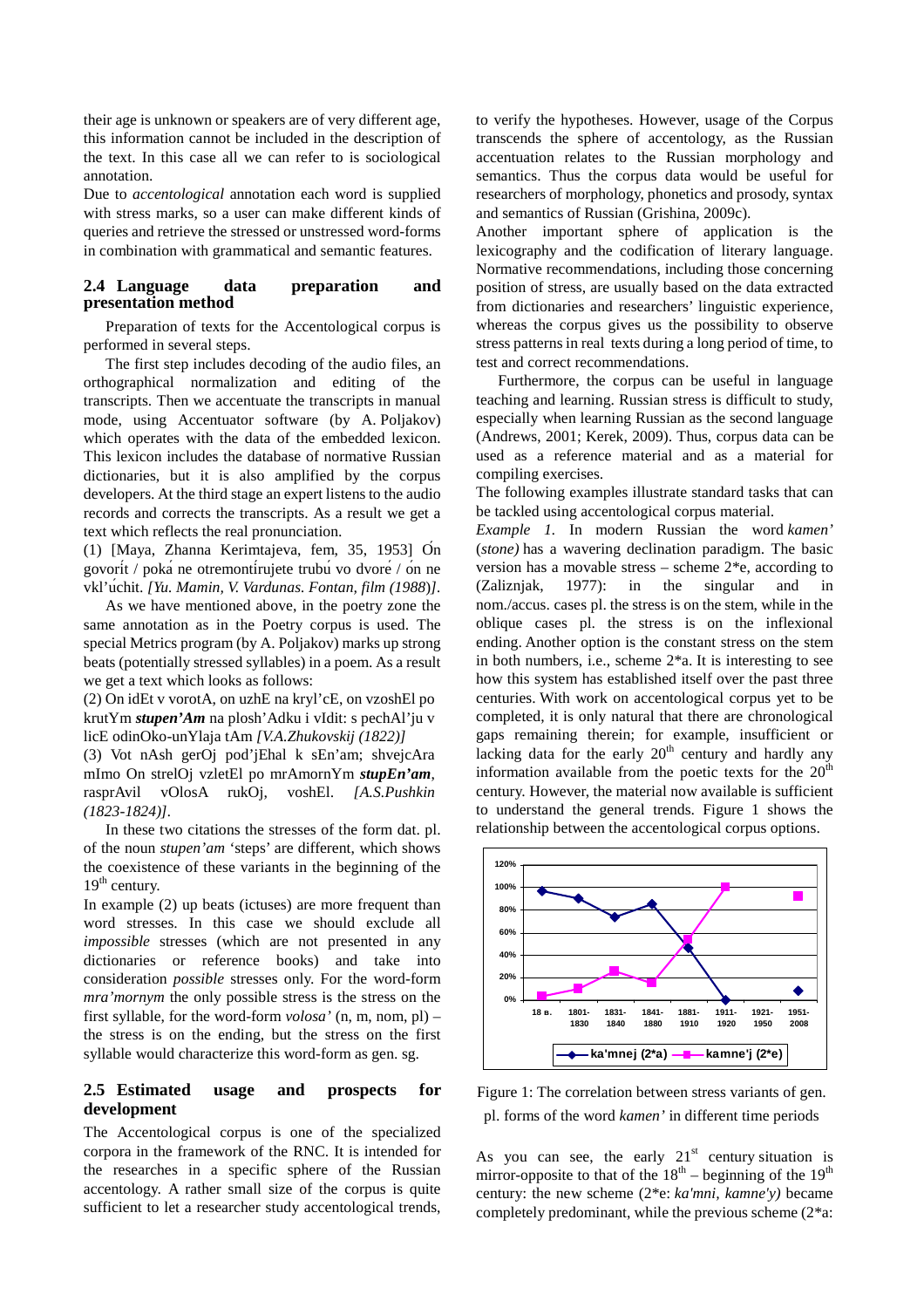their age is unknown or speakers are of very different age, this information cannot be included in the description of the text. In this case all we can refer to is sociological annotation.

Due to *accentological* annotation each word is supplied with stress marks, so a user can make different kinds of queries and retrieve the stressed or unstressed word-forms in combination with grammatical and semantic features.

#### **2.4 Language data preparation and presentation method**

Preparation of texts for the Accentological corpus is performed in several steps.

The first step includes decoding of the audio files, an orthographical normalization and editing of the transcripts. Then we accentuate the transcripts in manual mode, using Accentuator software (by A. Poljakov) which operates with the data of the embedded lexicon. This lexicon includes the database of normative Russian dictionaries, but it is also amplified by the corpus developers. At the third stage an expert listens to the audio records and corrects the transcripts. As a result we get a text which reflects the real pronunciation.

(1) [Maya, Zhanna Kerimtajeva, fem, 35, 1953] On govorit / poka ne otremontirujete trubu vo dvore / on ne vkl'uchit. *[Yu. Mamin, V. Vardunas. Fontan, film (1988*)*].*

As we have mentioned above, in the poetry zone the same annotation as in the Poetry corpus is used. The special Metrics program (by A. Poljakov) marks up strong beats (potentially stressed syllables) in a poem. As a result we get a text which looks as follows:

(2) On idEt v vorotA, on uzhE na kryl'cE, on vzoshEl po krutYm *stupen'Am* na plosh'Adku i vIdit: s pechAl'ju v licE odinOko-unYlaja tAm *[V.A.Zhukovskij (1822)]*

(3) Vot nAsh gerOj pod'jEhal k sEn'am; shvejcAra mImo On strelOj vzletEl po mrAmornYm *stupEn'am*, rasprAvil vOlosA rukOj, voshEl. *[A.S.Pushkin (1823-1824)].*

In these two citations the stresses of the form dat. pl. of the noun *stupen'am* 'steps' are different, which shows the coexistence of these variants in the beginning of the  $19<sup>th</sup>$  century.

In example (2) up beats (ictuses) are more frequent than word stresses. In this case we should exclude all *impossible* stresses (which are not presented in any dictionaries or reference books) and take into consideration *possible* stresses only. For the word-form *mra'mornym* the only possible stress is the stress on the first syllable, for the word-form *volosa'* (n, m, nom, pl) – the stress is on the ending, but the stress on the first syllable would characterize this word-form as gen. sg.

### **2.5 Estimated usage and prospects for development**

The Accentological corpus is one of the specialized corpora in the framework of the RNC. It is intended for the researches in a specific sphere of the Russian accentology. A rather small size of the corpus is quite sufficient to let a researcher study accentological trends, to verify the hypotheses. However, usage of the Corpus transcends the sphere of accentology, as the Russian accentuation relates to the Russian morphology and semantics. Thus the corpus data would be useful for researchers of morphology, phonetics and prosody, syntax and semantics of Russian (Grishina, 2009c).

Another important sphere of application is the lexicography and the codification of literary language. Normative recommendations, including those concerning position of stress, are usually based on the data extracted from dictionaries and researchers' linguistic experience, whereas the corpus gives us the possibility to observe stress patterns in real texts during a long period of time, to test and correct recommendations.

Furthermore, the corpus can be useful in language teaching and learning. Russian stress is difficult to study, especially when learning Russian as the second language (Andrews, 2001; Kerek, 2009). Thus, corpus data can be used as a reference material and as a material for compiling exercises.

The following examples illustrate standard tasks that can be tackled using accentological corpus material.

*Example 1.* In modern Russian the word *kamen'* (*stone)* has a wavering declination paradigm. The basic version has a movable stress – scheme 2\*e, according to (Zaliznjak, 1977): in the singular and in nom./accus. cases pl. the stress is on the stem, while in the oblique cases pl. the stress is on the inflexional ending. Another option is the constant stress on the stem in both numbers, i.e., scheme 2\*a. It is interesting to see how this system has established itself over the past three centuries. With work on accentological corpus yet to be completed, it is only natural that there are chronological gaps remaining therein; for example, insufficient or lacking data for the early  $20<sup>th</sup>$  century and hardly any information available from the poetic texts for the  $20<sup>th</sup>$ century. However, the material now available is sufficient to understand the general trends. Figure 1 shows the relationship between the accentological corpus options.



Figure 1: The correlation between stress variants of gen. pl. forms of the word *kamen'* in different time periods

As you can see, the early  $21<sup>st</sup>$  century situation is mirror-opposite to that of the  $18<sup>th</sup>$  – beginning of the  $19<sup>th</sup>$ century: the new scheme (2\*e: *ka'mni, kamne'y)* became completely predominant, while the previous scheme (2\*a: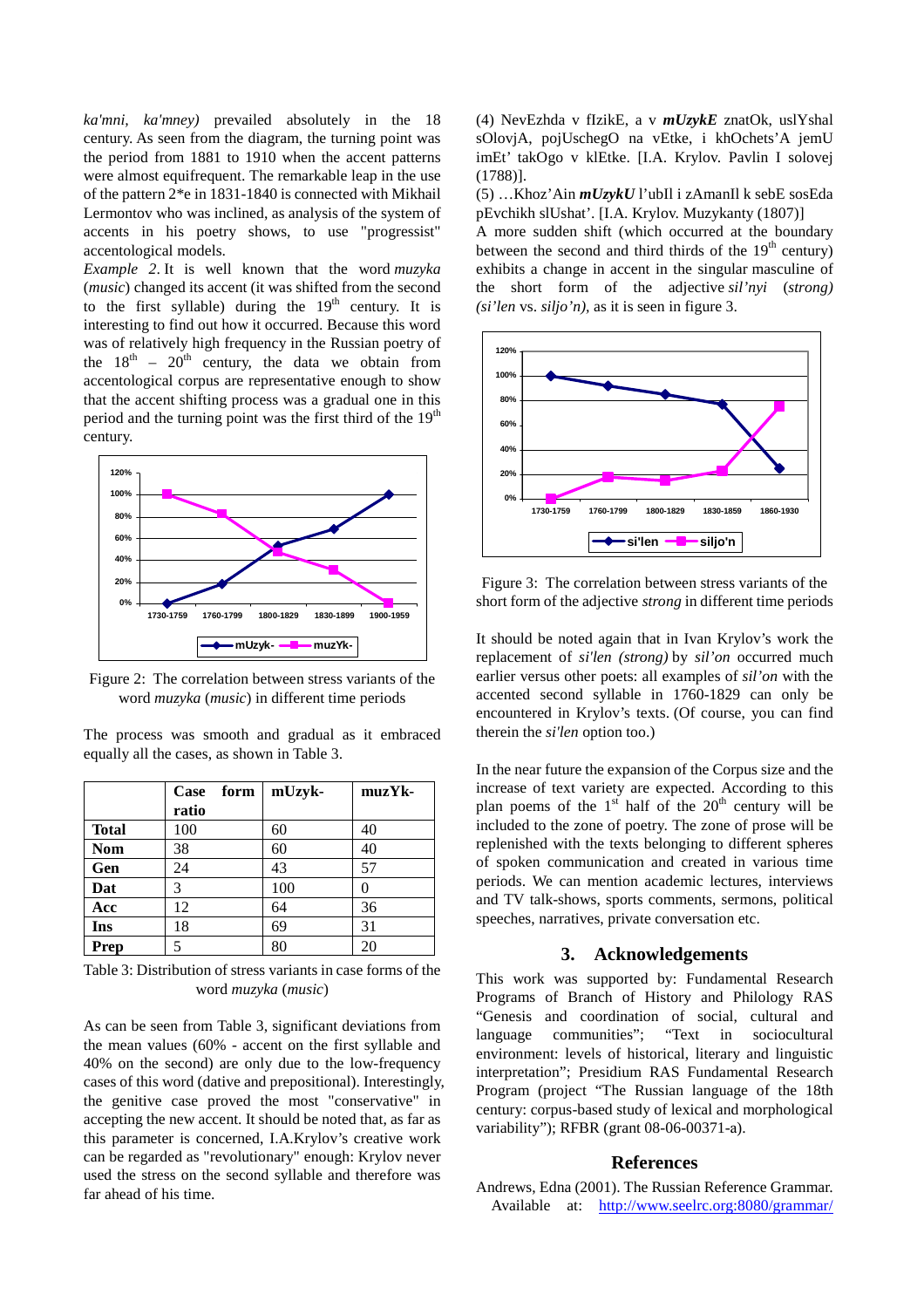*ka'mni, ka'mney)* prevailed absolutely in the 18 century. As seen from the diagram, the turning point was the period from 1881 to 1910 when the accent patterns were almost equifrequent. The remarkable leap in the use of the pattern 2\*e in 1831-1840 is connected with Mikhail Lermontov who was inclined, as analysis of the system of accents in his poetry shows, to use "progressist" accentological models.

*Example 2*. It is well known that the word *muzyka* (*music*) changed its accent (it was shifted from the second to the first syllable) during the  $19<sup>th</sup>$  century. It is interesting to find out how it occurred. Because this word was of relatively high frequency in the Russian poetry of the  $18<sup>th</sup>$  –  $20<sup>th</sup>$  century, the data we obtain from accentological corpus are representative enough to show that the accent shifting process was a gradual one in this period and the turning point was the first third of the  $19<sup>th</sup>$ century.



Figure 2: The correlation between stress variants of the word *muzyka* (*music*) in different time periods

The process was smooth and gradual as it embraced equally all the cases, as shown in Table 3.

|              | form<br>Case | mUzyk- | muzYk- |
|--------------|--------------|--------|--------|
|              | ratio        |        |        |
| <b>Total</b> | 100          | 60     | 40     |
| <b>Nom</b>   | 38           | 60     | 40     |
| Gen          | 24           | 43     | 57     |
| Dat          | 3            | 100    | 0      |
| Acc          | 12           | 64     | 36     |
| Ins          | 18           | 69     | 31     |
| Prep         | 5            | 80     | 20     |

Table 3: Distribution of stress variants in case forms of the word *muzyka* (*music*)

As can be seen from Table 3, significant deviations from the mean values (60% - accent on the first syllable and 40% on the second) are only due to the low-frequency cases of this word (dative and prepositional). Interestingly, the genitive case proved the most "conservative" in accepting the new accent. It should be noted that, as far as this parameter is concerned, I.A.Krylov's creative work can be regarded as "revolutionary" enough: Krylov never used the stress on the second syllable and therefore was far ahead of his time.

(4) NevEzhda v fIzikE, a v *mUzykE* znatOk, uslYshal sOlovjA, pojUschegO na vEtke, i khOchets'A jemU imEt' takOgo v klEtke. [I.A. Krylov. Pavlin I solovej (1788)].

(5) …Khoz'Ain *mUzykU* l'ubIl i zAmanIl k sebE sosEda pEvchikh slUshat'. [I.A. Krylov. Muzykanty (1807)]

A more sudden shift (which occurred at the boundary between the second and third thirds of the  $19<sup>th</sup>$  century) exhibits a change in accent in the singular masculine of the short form of the adjective *sil'nyi* (*strong) (si'len* vs. *siljo'n),* as it is seen in figure 3.



Figure 3: The correlation between stress variants of the short form of the adjective *strong* in different time periods

It should be noted again that in Ivan Krylov's work the replacement of *si'len (strong)* by *sil'on* occurred much earlier versus other poets: all examples of *sil'on* with the accented second syllable in 1760-1829 can only be encountered in Krylov's texts. (Of course, you can find therein the *si'len* option too.)

In the near future the expansion of the Corpus size and the increase of text variety are expected. According to this plan poems of the  $1<sup>st</sup>$  half of the  $20<sup>th</sup>$  century will be included to the zone of poetry. The zone of prose will be replenished with the texts belonging to different spheres of spoken communication and created in various time periods. We can mention academic lectures, interviews and TV talk-shows, sports comments, sermons, political speeches, narratives, private conversation etc.

### **3. Acknowledgements**

This work was supported by: Fundamental Research Programs of Branch of History and Philology RAS "Genesis and coordination of social, cultural and language communities"; "Text in sociocultural environment: levels of historical, literary and linguistic interpretation"; Presidium RAS Fundamental Research Program (project "The Russian language of the 18th century: corpus-based study of lexical and morphological variability"); RFBR (grant 08-06-00371-a).

### **References**

Andrews, Edna (2001). The Russian Reference Grammar. Available at: http://www.seelrc.org:8080/grammar/